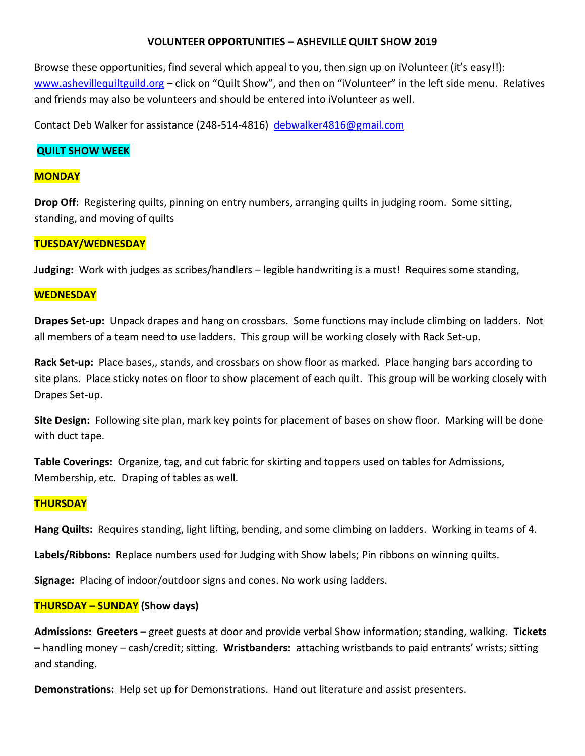# **VOLUNTEER OPPORTUNITIES – ASHEVILLE QUILT SHOW 2019**

Browse these opportunities, find several which appeal to you, then sign up on iVolunteer (it's easy!!): [www.ashevillequiltguild.org](http://www.ashevillequiltguild.org/) – click on "Quilt Show", and then on "iVolunteer" in the left side menu. Relatives and friends may also be volunteers and should be entered into iVolunteer as well.

Contact Deb Walker for assistance (248-514-4816) [debwalker4816@gmail.com](mailto:debwalker4816@gmail.com)

## **QUILT SHOW WEEK**

## **MONDAY**

**Drop Off:** Registering quilts, pinning on entry numbers, arranging quilts in judging room. Some sitting, standing, and moving of quilts

# **TUESDAY/WEDNESDAY**

**Judging:** Work with judges as scribes/handlers – legible handwriting is a must! Requires some standing,

### **WEDNESDAY**

**Drapes Set-up:** Unpack drapes and hang on crossbars. Some functions may include climbing on ladders. Not all members of a team need to use ladders. This group will be working closely with Rack Set-up.

**Rack Set-up:** Place bases,, stands, and crossbars on show floor as marked. Place hanging bars according to site plans. Place sticky notes on floor to show placement of each quilt. This group will be working closely with Drapes Set-up.

**Site Design:** Following site plan, mark key points for placement of bases on show floor. Marking will be done with duct tape.

**Table Coverings:** Organize, tag, and cut fabric for skirting and toppers used on tables for Admissions, Membership, etc. Draping of tables as well.

## **THURSDAY**

**Hang Quilts:** Requires standing, light lifting, bending, and some climbing on ladders. Working in teams of 4.

**Labels/Ribbons:** Replace numbers used for Judging with Show labels; Pin ribbons on winning quilts.

**Signage:** Placing of indoor/outdoor signs and cones. No work using ladders.

## **THURSDAY – SUNDAY (Show days)**

**Admissions: Greeters –** greet guests at door and provide verbal Show information; standing, walking. **Tickets –** handling money – cash/credit; sitting. **Wristbanders:** attaching wristbands to paid entrants' wrists; sitting and standing.

**Demonstrations:** Help set up for Demonstrations. Hand out literature and assist presenters.